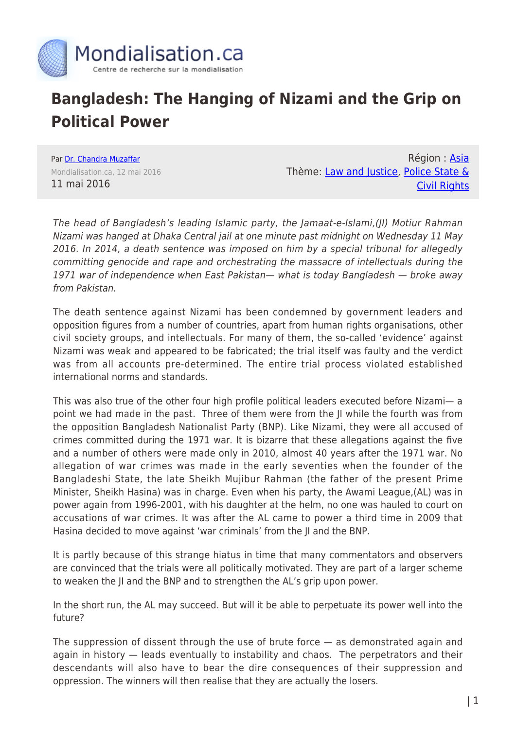

## **Bangladesh: The Hanging of Nizami and the Grip on Political Power**

Par [Dr. Chandra Muzaffar](https://www.mondialisation.ca/author/chandra-muzaffar) Mondialisation.ca, 12 mai 2016 11 mai 2016

Région : [Asia](https://www.mondialisation.ca/region/asia) Thème: [Law and Justice](https://www.mondialisation.ca/theme/law-and-justice), [Police State &](https://www.mondialisation.ca/theme/police-state-civil-rights) [Civil Rights](https://www.mondialisation.ca/theme/police-state-civil-rights)

The head of Bangladesh's leading Islamic party, the Jamaat-e-Islami,(JI) Motiur Rahman Nizami was hanged at Dhaka Central jail at one minute past midnight on Wednesday 11 May 2016. In 2014, a death sentence was imposed on him by a special tribunal for allegedly committing genocide and rape and orchestrating the massacre of intellectuals during the 1971 war of independence when East Pakistan— what is today Bangladesh — broke away from Pakistan.

The death sentence against Nizami has been condemned by government leaders and opposition figures from a number of countries, apart from human rights organisations, other civil society groups, and intellectuals. For many of them, the so-called 'evidence' against Nizami was weak and appeared to be fabricated; the trial itself was faulty and the verdict was from all accounts pre-determined. The entire trial process violated established international norms and standards.

This was also true of the other four high profile political leaders executed before Nizami— a point we had made in the past. Three of them were from the JI while the fourth was from the opposition Bangladesh Nationalist Party (BNP). Like Nizami, they were all accused of crimes committed during the 1971 war. It is bizarre that these allegations against the five and a number of others were made only in 2010, almost 40 years after the 1971 war. No allegation of war crimes was made in the early seventies when the founder of the Bangladeshi State, the late Sheikh Mujibur Rahman (the father of the present Prime Minister, Sheikh Hasina) was in charge. Even when his party, the Awami League,(AL) was in power again from 1996-2001, with his daughter at the helm, no one was hauled to court on accusations of war crimes. It was after the AL came to power a third time in 2009 that Hasina decided to move against 'war criminals' from the JI and the BNP.

It is partly because of this strange hiatus in time that many commentators and observers are convinced that the trials were all politically motivated. They are part of a larger scheme to weaken the JI and the BNP and to strengthen the AL's grip upon power.

In the short run, the AL may succeed. But will it be able to perpetuate its power well into the future?

The suppression of dissent through the use of brute force — as demonstrated again and again in history — leads eventually to instability and chaos. The perpetrators and their descendants will also have to bear the dire consequences of their suppression and oppression. The winners will then realise that they are actually the losers.